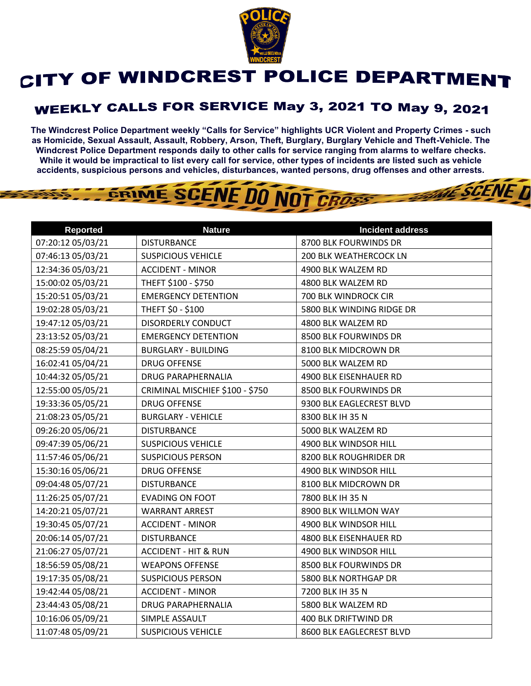

## CITY OF WINDCREST POLICE DEPARTMENT

## **WEEKLY CALLS FOR SERVICE May 3, 2021 TO May 9, 2021**

**The Windcrest Police Department weekly "Calls for Service" highlights UCR Violent and Property Crimes - such as Homicide, Sexual Assault, Assault, Robbery, Arson, Theft, Burglary, Burglary Vehicle and Theft-Vehicle. The Windcrest Police Department responds daily to other calls for service ranging from alarms to welfare checks. While it would be impractical to list every call for service, other types of incidents are listed such as vehicle accidents, suspicious persons and vehicles, disturbances, wanted persons, drug offenses and other arrests.** 

**THE SCENE D** 

## GRIME SCENE DO NOT CROSS

| <b>Reported</b>   | <b>Nature</b>                   | <b>Incident address</b>   |
|-------------------|---------------------------------|---------------------------|
| 07:20:12 05/03/21 | <b>DISTURBANCE</b>              | 8700 BLK FOURWINDS DR     |
| 07:46:13 05/03/21 | <b>SUSPICIOUS VEHICLE</b>       | 200 BLK WEATHERCOCK LN    |
| 12:34:36 05/03/21 | <b>ACCIDENT - MINOR</b>         | 4900 BLK WALZEM RD        |
| 15:00:02 05/03/21 | THEFT \$100 - \$750             | 4800 BLK WALZEM RD        |
| 15:20:51 05/03/21 | <b>EMERGENCY DETENTION</b>      | 700 BLK WINDROCK CIR      |
| 19:02:28 05/03/21 | THEFT \$0 - \$100               | 5800 BLK WINDING RIDGE DR |
| 19:47:12 05/03/21 | DISORDERLY CONDUCT              | 4800 BLK WALZEM RD        |
| 23:13:52 05/03/21 | <b>EMERGENCY DETENTION</b>      | 8500 BLK FOURWINDS DR     |
| 08:25:59 05/04/21 | <b>BURGLARY - BUILDING</b>      | 8100 BLK MIDCROWN DR      |
| 16:02:41 05/04/21 | <b>DRUG OFFENSE</b>             | 5000 BLK WALZEM RD        |
| 10:44:32 05/05/21 | <b>DRUG PARAPHERNALIA</b>       | 4900 BLK EISENHAUER RD    |
| 12:55:00 05/05/21 | CRIMINAL MISCHIEF \$100 - \$750 | 8500 BLK FOURWINDS DR     |
| 19:33:36 05/05/21 | <b>DRUG OFFENSE</b>             | 9300 BLK EAGLECREST BLVD  |
| 21:08:23 05/05/21 | <b>BURGLARY - VEHICLE</b>       | 8300 BLK IH 35 N          |
| 09:26:20 05/06/21 | <b>DISTURBANCE</b>              | 5000 BLK WALZEM RD        |
| 09:47:39 05/06/21 | <b>SUSPICIOUS VEHICLE</b>       | 4900 BLK WINDSOR HILL     |
| 11:57:46 05/06/21 | <b>SUSPICIOUS PERSON</b>        | 8200 BLK ROUGHRIDER DR    |
| 15:30:16 05/06/21 | <b>DRUG OFFENSE</b>             | 4900 BLK WINDSOR HILL     |
| 09:04:48 05/07/21 | <b>DISTURBANCE</b>              | 8100 BLK MIDCROWN DR      |
| 11:26:25 05/07/21 | <b>EVADING ON FOOT</b>          | 7800 BLK IH 35 N          |
| 14:20:21 05/07/21 | <b>WARRANT ARREST</b>           | 8900 BLK WILLMON WAY      |
| 19:30:45 05/07/21 | <b>ACCIDENT - MINOR</b>         | 4900 BLK WINDSOR HILL     |
| 20:06:14 05/07/21 | <b>DISTURBANCE</b>              | 4800 BLK EISENHAUER RD    |
| 21:06:27 05/07/21 | <b>ACCIDENT - HIT &amp; RUN</b> | 4900 BLK WINDSOR HILL     |
| 18:56:59 05/08/21 | <b>WEAPONS OFFENSE</b>          | 8500 BLK FOURWINDS DR     |
| 19:17:35 05/08/21 | <b>SUSPICIOUS PERSON</b>        | 5800 BLK NORTHGAP DR      |
| 19:42:44 05/08/21 | <b>ACCIDENT - MINOR</b>         | 7200 BLK IH 35 N          |
| 23:44:43 05/08/21 | <b>DRUG PARAPHERNALIA</b>       | 5800 BLK WALZEM RD        |
| 10:16:06 05/09/21 | SIMPLE ASSAULT                  | 400 BLK DRIFTWIND DR      |
| 11:07:48 05/09/21 | <b>SUSPICIOUS VEHICLE</b>       | 8600 BLK EAGLECREST BLVD  |